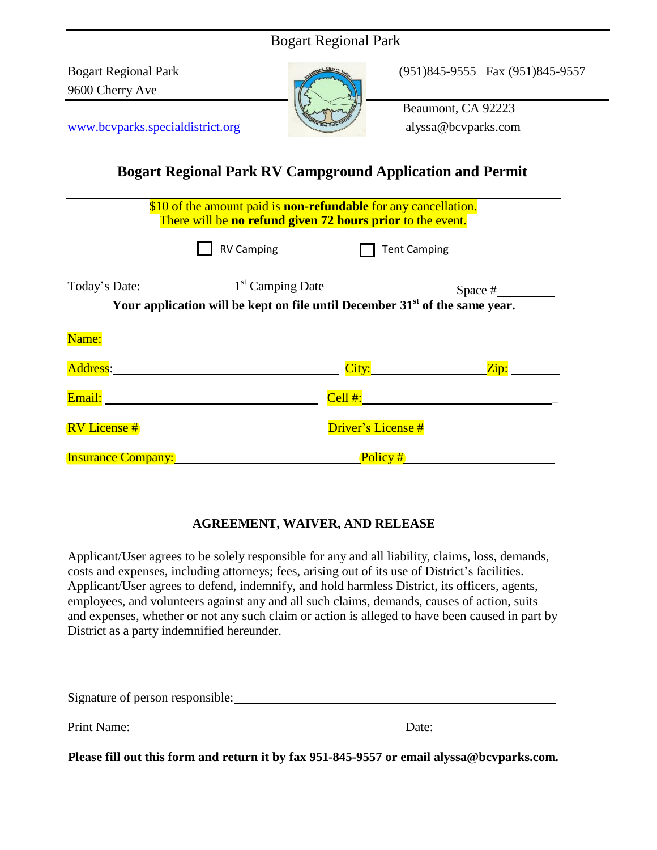| <b>Bogart Regional Park</b>                                                                                    |                                                                                                                                      |                                                                  |  |
|----------------------------------------------------------------------------------------------------------------|--------------------------------------------------------------------------------------------------------------------------------------|------------------------------------------------------------------|--|
| <b>Bogart Regional Park</b><br>9600 Cherry Ave                                                                 |                                                                                                                                      | (951)845-9555 Fax (951)845-9557                                  |  |
| www.bcvparks.specialdistrict.org                                                                               |                                                                                                                                      | Beaumont, CA 92223<br>alyssa@bcvparks.com                        |  |
|                                                                                                                |                                                                                                                                      | <b>Bogart Regional Park RV Campground Application and Permit</b> |  |
|                                                                                                                | \$10 of the amount paid is <b>non-refundable</b> for any cancellation.<br>There will be no refund given 72 hours prior to the event. |                                                                  |  |
|                                                                                                                | <b>RV Camping</b>                                                                                                                    | <b>Tent Camping</b>                                              |  |
|                                                                                                                | Your application will be kept on file until December $31st$ of the same year.                                                        |                                                                  |  |
| Name: Name and the second contract of the second contract of the second contract of the second contract of the |                                                                                                                                      |                                                                  |  |
| Address: Address:                                                                                              |                                                                                                                                      |                                                                  |  |
|                                                                                                                |                                                                                                                                      |                                                                  |  |
| $RV$ License $#$                                                                                               |                                                                                                                                      | Driver's License #                                               |  |
| <b>Insurance Company:</b>                                                                                      |                                                                                                                                      | Policy #                                                         |  |

## **AGREEMENT, WAIVER, AND RELEASE**

Applicant/User agrees to be solely responsible for any and all liability, claims, loss, demands, costs and expenses, including attorneys; fees, arising out of its use of District's facilities. Applicant/User agrees to defend, indemnify, and hold harmless District, its officers, agents, employees, and volunteers against any and all such claims, demands, causes of action, suits and expenses, whether or not any such claim or action is alleged to have been caused in part by District as a party indemnified hereunder.

| Date: |
|-------|
|       |

**Please fill out this form and return it by fax 951-845-9557 or email [alyssa@bcvparks.com.](mailto:alyssa@bcvparks.com)**